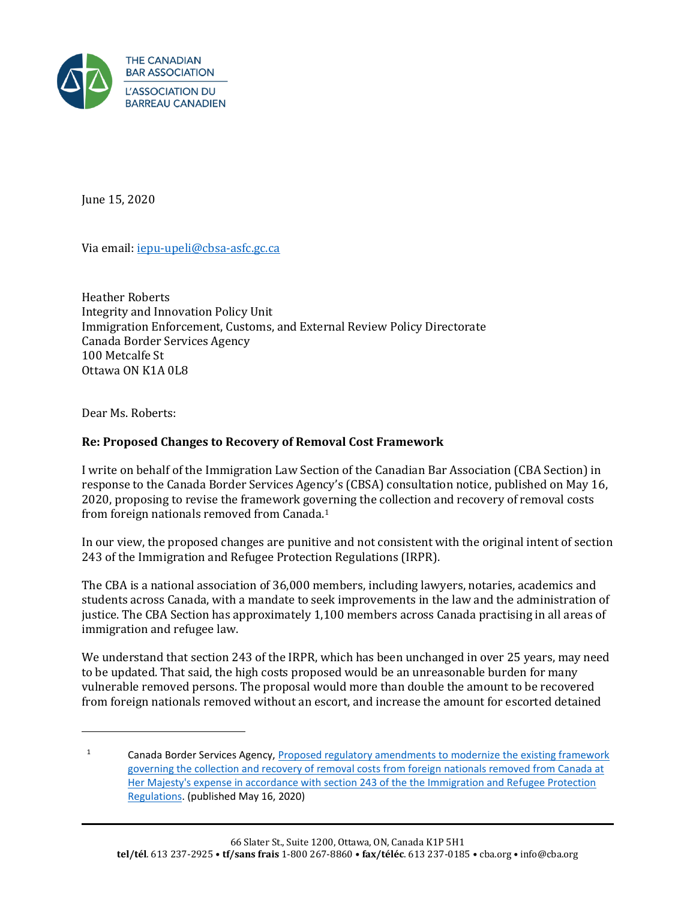

June 15, 2020

Via email[: iepu-upeli@cbsa-asfc.gc.ca](mailto:iepu-upeli@cbsa-asfc.gc.ca)

Heather Roberts Integrity and Innovation Policy Unit Immigration Enforcement, Customs, and External Review Policy Directorate Canada Border Services Agency 100 Metcalfe St Ottawa ON K1A 0L8

Dear Ms. Roberts:

## **Re: Proposed Changes to Recovery of Removal Cost Framework**

I write on behalf of the Immigration Law Section of the Canadian Bar Association (CBA Section) in response to the Canada Border Services Agency's (CBSA) consultation notice, published on May 16, 2020, proposing to revise the framework governing the collection and recovery of removal costs from foreign nationals removed from Canada.<sup>1</sup>

In our view, the proposed changes are punitive and not consistent with the original intent of section 243 of the Immigration and Refugee Protection Regulations (IRPR).

The CBA is a national association of 36,000 members, including lawyers, notaries, academics and students across Canada, with a mandate to seek improvements in the law and the administration of justice. The CBA Section has approximately 1,100 members across Canada practising in all areas of immigration and refugee law.

We understand that section 243 of the IRPR, which has been unchanged in over 25 years, may need to be updated. That said, the high costs proposed would be an unreasonable burden for many vulnerable removed persons. The proposal would more than double the amount to be recovered from foreign nationals removed without an escort, and increase the amount for escorted detained

<sup>&</sup>lt;sup>1</sup> Canada Border Services Agency, Proposed regulatory amendments to modernize the existing framework [governing the collection and recovery of removal costs from foreign nationals removed from Canada at](https://cbsa-asfc.gc.ca/agency-agence/consult/consultations/2020-2-eng.html)  [Her Majesty's expense in accordance with section 243 of the the Immigration and Refugee Protection](https://cbsa-asfc.gc.ca/agency-agence/consult/consultations/2020-2-eng.html)  [Regulations.](https://cbsa-asfc.gc.ca/agency-agence/consult/consultations/2020-2-eng.html) (published May 16, 2020)